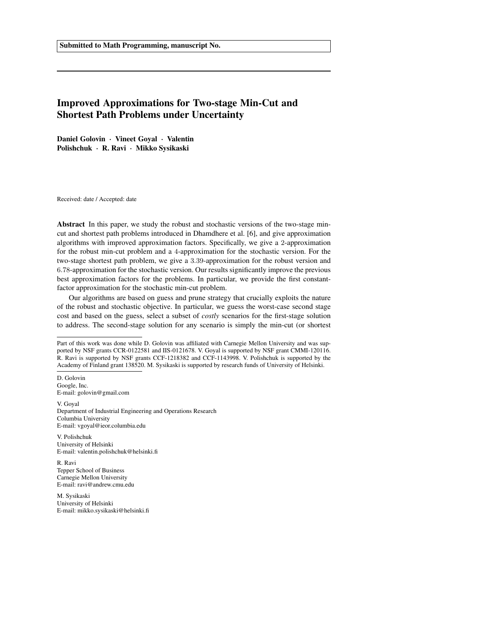# Improved Approximations for Two-stage Min-Cut and Shortest Path Problems under Uncertainty

Daniel Golovin · Vineet Goyal · Valentin Polishchuk · R. Ravi · Mikko Sysikaski

Received: date / Accepted: date

Abstract In this paper, we study the robust and stochastic versions of the two-stage mincut and shortest path problems introduced in Dhamdhere et al. [6], and give approximation algorithms with improved approximation factors. Specifically, we give a 2-approximation for the robust min-cut problem and a 4-approximation for the stochastic version. For the two-stage shortest path problem, we give a 3.39-approximation for the robust version and 6.78-approximation for the stochastic version. Our results significantly improve the previous best approximation factors for the problems. In particular, we provide the first constantfactor approximation for the stochastic min-cut problem.

Our algorithms are based on guess and prune strategy that crucially exploits the nature of the robust and stochastic objective. In particular, we guess the worst-case second stage cost and based on the guess, select a subset of *costly* scenarios for the first-stage solution to address. The second-stage solution for any scenario is simply the min-cut (or shortest

D. Golovin Google, Inc. E-mail: golovin@gmail.com

V. Goyal Department of Industrial Engineering and Operations Research Columbia University E-mail: vgoyal@ieor.columbia.edu

V. Polishchuk University of Helsinki E-mail: valentin.polishchuk@helsinki.fi

R. Ravi Tepper School of Business Carnegie Mellon University E-mail: ravi@andrew.cmu.edu

M. Sysikaski University of Helsinki E-mail: mikko.sysikaski@helsinki.fi

Part of this work was done while D. Golovin was affiliated with Carnegie Mellon University and was supported by NSF grants CCR-0122581 and IIS-0121678. V. Goyal is supported by NSF grant CMMI-120116. R. Ravi is supported by NSF grants CCF-1218382 and CCF-1143998. V. Polishchuk is supported by the Academy of Finland grant 138520. M. Sysikaski is supported by research funds of University of Helsinki.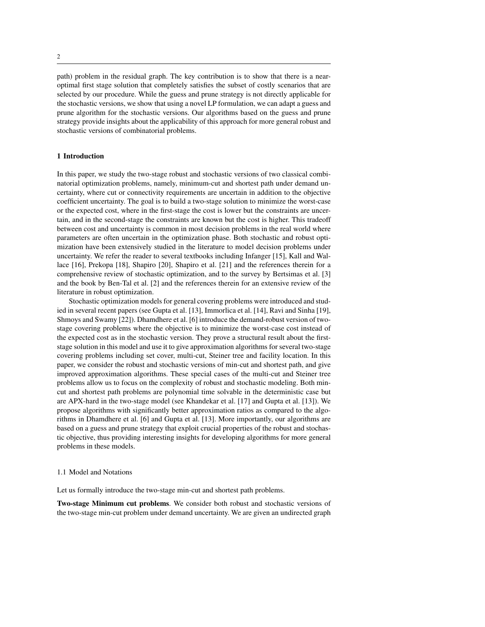path) problem in the residual graph. The key contribution is to show that there is a nearoptimal first stage solution that completely satisfies the subset of costly scenarios that are selected by our procedure. While the guess and prune strategy is not directly applicable for the stochastic versions, we show that using a novel LP formulation, we can adapt a guess and prune algorithm for the stochastic versions. Our algorithms based on the guess and prune strategy provide insights about the applicability of this approach for more general robust and stochastic versions of combinatorial problems.

## 1 Introduction

In this paper, we study the two-stage robust and stochastic versions of two classical combinatorial optimization problems, namely, minimum-cut and shortest path under demand uncertainty, where cut or connectivity requirements are uncertain in addition to the objective coefficient uncertainty. The goal is to build a two-stage solution to minimize the worst-case or the expected cost, where in the first-stage the cost is lower but the constraints are uncertain, and in the second-stage the constraints are known but the cost is higher. This tradeoff between cost and uncertainty is common in most decision problems in the real world where parameters are often uncertain in the optimization phase. Both stochastic and robust optimization have been extensively studied in the literature to model decision problems under uncertainty. We refer the reader to several textbooks including Infanger [15], Kall and Wallace [16], Prekopa [18], Shapiro [20], Shapiro et al. [21] and the references therein for a comprehensive review of stochastic optimization, and to the survey by Bertsimas et al. [3] and the book by Ben-Tal et al. [2] and the references therein for an extensive review of the literature in robust optimization.

Stochastic optimization models for general covering problems were introduced and studied in several recent papers (see Gupta et al. [13], Immorlica et al. [14], Ravi and Sinha [19], Shmoys and Swamy [22]). Dhamdhere et al. [6] introduce the demand-robust version of twostage covering problems where the objective is to minimize the worst-case cost instead of the expected cost as in the stochastic version. They prove a structural result about the firststage solution in this model and use it to give approximation algorithms for several two-stage covering problems including set cover, multi-cut, Steiner tree and facility location. In this paper, we consider the robust and stochastic versions of min-cut and shortest path, and give improved approximation algorithms. These special cases of the multi-cut and Steiner tree problems allow us to focus on the complexity of robust and stochastic modeling. Both mincut and shortest path problems are polynomial time solvable in the deterministic case but are APX-hard in the two-stage model (see Khandekar et al. [17] and Gupta et al. [13]). We propose algorithms with significantly better approximation ratios as compared to the algorithms in Dhamdhere et al. [6] and Gupta et al. [13]. More importantly, our algorithms are based on a guess and prune strategy that exploit crucial properties of the robust and stochastic objective, thus providing interesting insights for developing algorithms for more general problems in these models.

#### 1.1 Model and Notations

Let us formally introduce the two-stage min-cut and shortest path problems.

Two-stage Minimum cut problems. We consider both robust and stochastic versions of the two-stage min-cut problem under demand uncertainty. We are given an undirected graph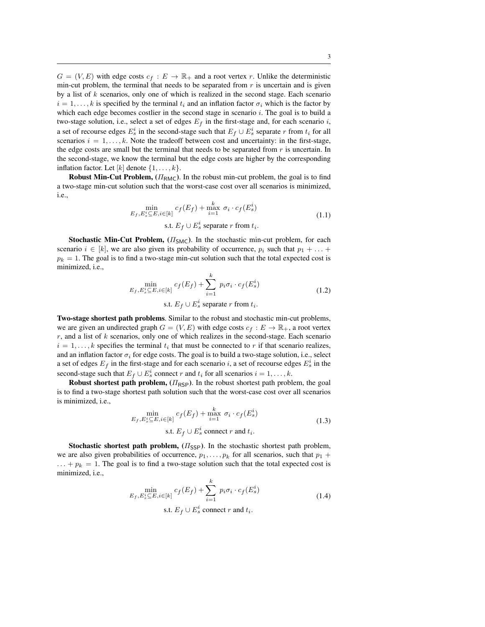$G = (V, E)$  with edge costs  $c_f : E \to \mathbb{R}_+$  and a root vertex r. Unlike the deterministic min-cut problem, the terminal that needs to be separated from  $r$  is uncertain and is given by a list of  $k$  scenarios, only one of which is realized in the second stage. Each scenario  $i = 1, \ldots, k$  is specified by the terminal  $t_i$  and an inflation factor  $\sigma_i$  which is the factor by which each edge becomes costlier in the second stage in scenario  $i$ . The goal is to build a two-stage solution, i.e., select a set of edges  $E_f$  in the first-stage and, for each scenario i, a set of recourse edges  $E_s^i$  in the second-stage such that  $E_f \cup E_s^i$  separate r from  $t_i$  for all scenarios  $i = 1, \ldots, k$ . Note the tradeoff between cost and uncertainty: in the first-stage, the edge costs are small but the terminal that needs to be separated from  $r$  is uncertain. In the second-stage, we know the terminal but the edge costs are higher by the corresponding inflation factor. Let  $[k]$  denote  $\{1, \ldots, k\}$ .

Robust Min-Cut Problem,  $(\Pi_{RMC})$ . In the robust min-cut problem, the goal is to find a two-stage min-cut solution such that the worst-case cost over all scenarios is minimized, i.e.,

$$
\min_{E_f, E_s^i \subseteq E, i \in [k]} c_f(E_f) + \max_{i=1}^k \sigma_i \cdot c_f(E_s^i)
$$
\n
$$
\text{s.t. } E_f \cup E_s^i \text{ separate } r \text{ from } t_i.
$$
\n(1.1)

**Stochastic Min-Cut Problem,**  $(\Pi_{SMC})$ . In the stochastic min-cut problem, for each scenario  $i \in [k]$ , we are also given its probability of occurrence,  $p_i$  such that  $p_1 + \ldots + p_k$  $p_k = 1$ . The goal is to find a two-stage min-cut solution such that the total expected cost is minimized, i.e.,

$$
\min_{E_f, E_s^i \subseteq E, i \in [k]} c_f(E_f) + \sum_{i=1}^k p_i \sigma_i \cdot c_f(E_s^i)
$$
\n
$$
\text{s.t. } E_f \cup E_s^i \text{ separate } r \text{ from } t_i.
$$
\n(1.2)

Two-stage shortest path problems. Similar to the robust and stochastic min-cut problems, we are given an undirected graph  $G = (V, E)$  with edge costs  $c_f : E \to \mathbb{R}_+$ , a root vertex  $r$ , and a list of  $k$  scenarios, only one of which realizes in the second-stage. Each scenario  $i = 1, \ldots, k$  specifies the terminal  $t_i$  that must be connected to r if that scenario realizes, and an inflation factor  $\sigma_i$  for edge costs. The goal is to build a two-stage solution, i.e., select a set of edges  $E_f$  in the first-stage and for each scenario i, a set of recourse edges  $E_s^i$  in the second-stage such that  $E_f \cup E_s^i$  connect r and  $t_i$  for all scenarios  $i = 1, ..., k$ .

Robust shortest path problem,  $(\Pi_{\text{RSP}})$ . In the robust shortest path problem, the goal is to find a two-stage shortest path solution such that the worst-case cost over all scenarios is minimized, i.e.,

$$
\min_{E_f, E_s^i \subseteq E, i \in [k]} c_f(E_f) + \max_{i=1}^k \sigma_i \cdot c_f(E_s^i)
$$
\n
$$
\text{s.t. } E_f \cup E_s^i \text{ connect } r \text{ and } t_i.
$$
\n
$$
(1.3)
$$

**Stochastic shortest path problem,**  $(H<sub>SSP</sub>)$ . In the stochastic shortest path problem, we are also given probabilities of occurrence,  $p_1, \ldots, p_k$  for all scenarios, such that  $p_1 +$  $\ldots + p_k = 1$ . The goal is to find a two-stage solution such that the total expected cost is minimized, i.e.,

$$
\min_{E_f, E_s^i \subseteq E, i \in [k]} c_f(E_f) + \sum_{i=1}^k p_i \sigma_i \cdot c_f(E_s^i)
$$
\n
$$
\text{s.t. } E_f \cup E_s^i \text{ connect } r \text{ and } t_i.
$$
\n(1.4)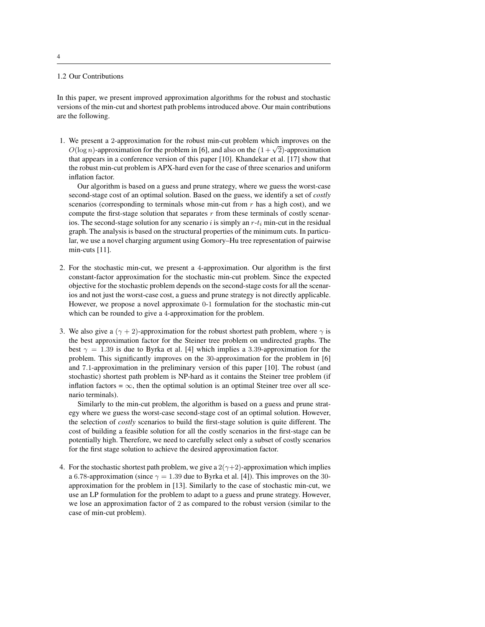# 1.2 Our Contributions

In this paper, we present improved approximation algorithms for the robust and stochastic versions of the min-cut and shortest path problems introduced above. Our main contributions are the following.

1. We present a 2-approximation for the robust min-cut problem which improves on the We present a 2-approximation for the robust fini-cut problem which improves on the  $O(\log n)$ -approximation for the problem in [6], and also on the  $(1 + \sqrt{2})$ -approximation that appears in a conference version of this paper [10]. Khandekar et al. [17] show that the robust min-cut problem is APX-hard even for the case of three scenarios and uniform inflation factor.

Our algorithm is based on a guess and prune strategy, where we guess the worst-case second-stage cost of an optimal solution. Based on the guess, we identify a set of *costly* scenarios (corresponding to terminals whose min-cut from  $r$  has a high cost), and we compute the first-stage solution that separates  $r$  from these terminals of costly scenarios. The second-stage solution for any scenario i is simply an  $r-t_i$  min-cut in the residual graph. The analysis is based on the structural properties of the minimum cuts. In particular, we use a novel charging argument using Gomory–Hu tree representation of pairwise min-cuts [11].

- 2. For the stochastic min-cut, we present a 4-approximation. Our algorithm is the first constant-factor approximation for the stochastic min-cut problem. Since the expected objective for the stochastic problem depends on the second-stage costs for all the scenarios and not just the worst-case cost, a guess and prune strategy is not directly applicable. However, we propose a novel approximate 0-1 formulation for the stochastic min-cut which can be rounded to give a 4-approximation for the problem.
- 3. We also give a ( $\gamma$  + 2)-approximation for the robust shortest path problem, where  $\gamma$  is the best approximation factor for the Steiner tree problem on undirected graphs. The best  $\gamma = 1.39$  is due to Byrka et al. [4] which implies a 3.39-approximation for the problem. This significantly improves on the 30-approximation for the problem in [6] and 7.1-approximation in the preliminary version of this paper [10]. The robust (and stochastic) shortest path problem is NP-hard as it contains the Steiner tree problem (if inflation factors =  $\infty$ , then the optimal solution is an optimal Steiner tree over all scenario terminals).

Similarly to the min-cut problem, the algorithm is based on a guess and prune strategy where we guess the worst-case second-stage cost of an optimal solution. However, the selection of *costly* scenarios to build the first-stage solution is quite different. The cost of building a feasible solution for all the costly scenarios in the first-stage can be potentially high. Therefore, we need to carefully select only a subset of costly scenarios for the first stage solution to achieve the desired approximation factor.

4. For the stochastic shortest path problem, we give a  $2(\gamma+2)$ -approximation which implies a 6.78-approximation (since  $\gamma = 1.39$  due to Byrka et al. [4]). This improves on the 30approximation for the problem in [13]. Similarly to the case of stochastic min-cut, we use an LP formulation for the problem to adapt to a guess and prune strategy. However, we lose an approximation factor of 2 as compared to the robust version (similar to the case of min-cut problem).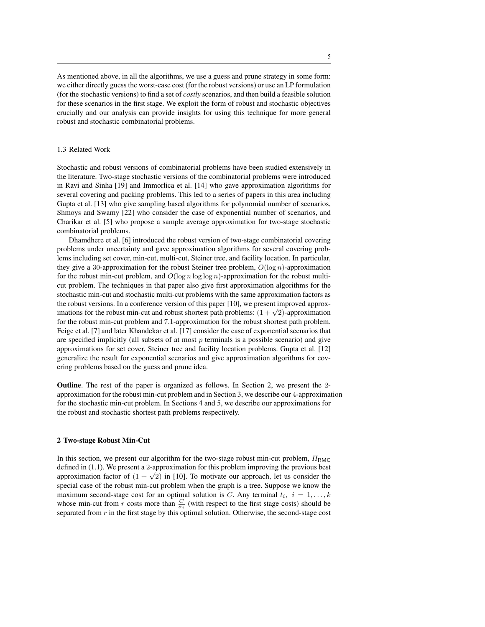As mentioned above, in all the algorithms, we use a guess and prune strategy in some form: we either directly guess the worst-case cost (for the robust versions) or use an LP formulation (for the stochastic versions) to find a set of *costly* scenarios, and then build a feasible solution for these scenarios in the first stage. We exploit the form of robust and stochastic objectives crucially and our analysis can provide insights for using this technique for more general robust and stochastic combinatorial problems.

#### 1.3 Related Work

Stochastic and robust versions of combinatorial problems have been studied extensively in the literature. Two-stage stochastic versions of the combinatorial problems were introduced in Ravi and Sinha [19] and Immorlica et al. [14] who gave approximation algorithms for several covering and packing problems. This led to a series of papers in this area including Gupta et al. [13] who give sampling based algorithms for polynomial number of scenarios, Shmoys and Swamy [22] who consider the case of exponential number of scenarios, and Charikar et al. [5] who propose a sample average approximation for two-stage stochastic combinatorial problems.

Dhamdhere et al. [6] introduced the robust version of two-stage combinatorial covering problems under uncertainty and gave approximation algorithms for several covering problems including set cover, min-cut, multi-cut, Steiner tree, and facility location. In particular, they give a 30-approximation for the robust Steiner tree problem,  $O(\log n)$ -approximation for the robust min-cut problem, and  $O(\log n \log \log n)$ -approximation for the robust multicut problem. The techniques in that paper also give first approximation algorithms for the stochastic min-cut and stochastic multi-cut problems with the same approximation factors as the robust versions. In a conference version of this paper [10], we present improved approxine robust versions. In a conference version of this paper  $[10]$ , we present improved approximation imations for the robust min-cut and robust shortest path problems:  $(1 + \sqrt{2})$ -approximation for the robust min-cut problem and 7.1-approximation for the robust shortest path problem. Feige et al. [7] and later Khandekar et al. [17] consider the case of exponential scenarios that are specified implicitly (all subsets of at most  $p$  terminals is a possible scenario) and give approximations for set cover, Steiner tree and facility location problems. Gupta et al. [12] generalize the result for exponential scenarios and give approximation algorithms for covering problems based on the guess and prune idea.

Outline. The rest of the paper is organized as follows. In Section 2, we present the 2 approximation for the robust min-cut problem and in Section 3, we describe our 4-approximation for the stochastic min-cut problem. In Sections 4 and 5, we describe our approximations for the robust and stochastic shortest path problems respectively.

#### 2 Two-stage Robust Min-Cut

In this section, we present our algorithm for the two-stage robust min-cut problem,  $\Pi_{\rm RMC}$ defined in (1.1). We present a 2-approximation for this problem improving the previous best approximation factor of  $(1 + \sqrt{2})$  in [10]. To motivate our approach, let us consider the special case of the robust min-cut problem when the graph is a tree. Suppose we know the maximum second-stage cost for an optimal solution is C. Any terminal  $t_i$ ,  $i = 1, \ldots, k$ whose min-cut from r costs more than  $\frac{C}{\sigma_i}$  (with respect to the first stage costs) should be separated from  $r$  in the first stage by this optimal solution. Otherwise, the second-stage cost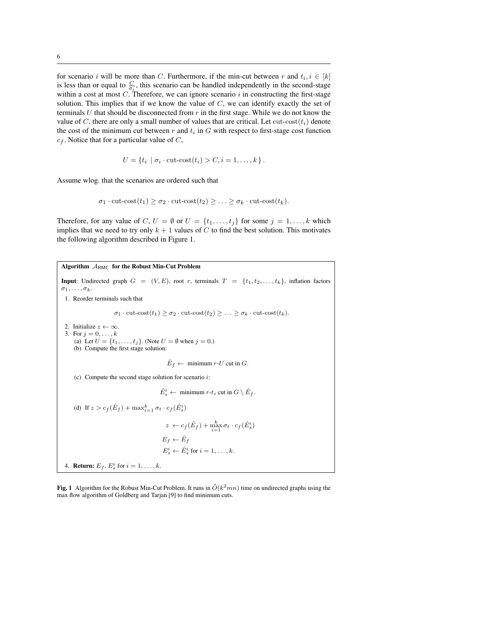for scenario i will be more than C. Furthermore, if the min-cut between r and  $t_i, i \in [k]$ is less than or equal to  $\frac{C}{\sigma_i}$ , this scenario can be handled independently in the second-stage within a cost at most  $C$ . Therefore, we can ignore scenario  $i$  in constructing the first-stage solution. This implies that if we know the value of  $C$ , we can identify exactly the set of terminals U that should be disconnected from  $r$  in the first stage. While we do not know the value of C, there are only a small number of values that are critical. Let  $cut-cost(t_i)$  denote the cost of the minimum cut between  $r$  and  $t_i$  in  $G$  with respect to first-stage cost function  $c_f$ . Notice that for a particular value of C,

$$
U = \{t_i \mid \sigma_i \cdot \text{cut-cost}(t_i) > C, i = 1, \dots, k\}.
$$

Assume wlog. that the scenarios are ordered such that

$$
\sigma_1 \cdot \text{cut-cost}(t_1) \ge \sigma_2 \cdot \text{cut-cost}(t_2) \ge \ldots \ge \sigma_k \cdot \text{cut-cost}(t_k).
$$

Therefore, for any value of C,  $U = \emptyset$  or  $U = \{t_1, \ldots, t_j\}$  for some  $j = 1, \ldots, k$  which implies that we need to try only  $k + 1$  values of C to find the best solution. This motivates the following algorithm described in Figure 1.

Algorithm  $A_{RMC}$  for the Robust Min-Cut Problem **Input**: Undirected graph  $G = (V, E)$ , root r, terminals  $T = \{t_1, t_2, \ldots, t_k\}$ , inflation factors  $\sigma_1, \ldots, \sigma_k$ . 1. Reorder terminals such that  $\sigma_1 \cdot \text{cut-cost}(t_1) \geq \sigma_2 \cdot \text{cut-cost}(t_2) \geq \ldots \geq \sigma_k \cdot \text{cut-cost}(t_k).$ 2. Initialize  $z \leftarrow \infty$ . 3. For  $j = 0, ..., k$ (a) Let  $U = \{t_1, ..., t_j\}$ . (Note  $U = \emptyset$  when  $j = 0$ .) (b) Compute the first stage solution:  $\hat{E}_f \leftarrow$  minimum r-U cut in G. (c) Compute the second stage solution for scenario  $i$ :  $\hat{E}^i_s \leftarrow \text{minimum } r\text{-}t_i \text{ cut in } G \setminus \hat{E}_f.$ (d) If  $z > c_f(\hat{E}_f) + \max_{i=1}^k \sigma_t \cdot c_f(\hat{E}_s^i)$  $z \leftarrow c_f(\hat{E}_f) + \max_{i=1}^k \sigma_t \cdot c_f(\hat{E}_s^i)$  $E_f \leftarrow \hat{E}_f$  $E_s^i \leftarrow \hat{E}_s^i$  for  $i = 1, \ldots, k$ . 4. **Return:**  $E_f$ ,  $E_s^i$  for  $i = 1, \ldots, k$ .

Fig. 1 Algorithm for the Robust Min-Cut Problem. It runs in  $\tilde{O}(k^2mn)$  time on undirected graphs using the max flow algorithm of Goldberg and Tarjan [9] to find minimum cuts.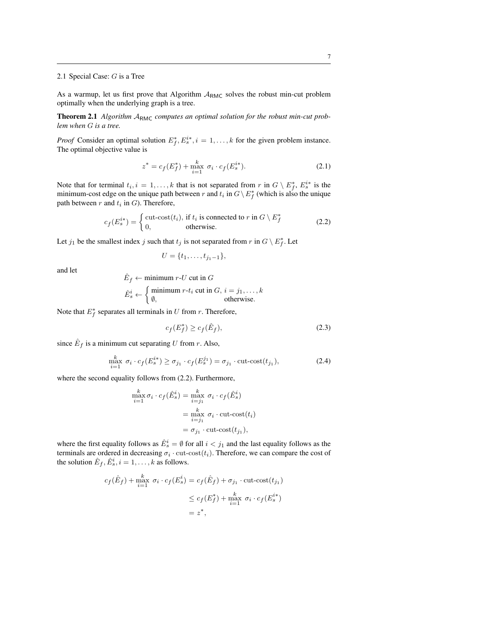### 2.1 Special Case: G is a Tree

As a warmup, let us first prove that Algorithm  $A_{RMC}$  solves the robust min-cut problem optimally when the underlying graph is a tree.

Theorem 2.1 Algorithm A<sub>RMC</sub> computes an optimal solution for the robust min-cut prob*lem when* G *is a tree.*

*Proof* Consider an optimal solution  $E_f^*, E_s^{i*}, i = 1, \ldots, k$  for the given problem instance. The optimal objective value is

$$
z^* = c_f(E_f^*) + \max_{i=1}^k \sigma_i \cdot c_f(E_s^{i*}). \tag{2.1}
$$

Note that for terminal  $t_i, i = 1, \ldots, k$  that is not separated from r in  $G \setminus E_f^*$ ,  $E_s^{i*}$  is the minimum-cost edge on the unique path between r and  $t_i$  in  $G \setminus E_f^*$  (which is also the unique path between  $r$  and  $t_i$  in  $G$ ). Therefore,

$$
c_f(E_s^{i*}) = \begin{cases} \text{cut-cost}(t_i), & \text{if } t_i \text{ is connected to } r \text{ in } G \setminus E_f^* \\ 0, & \text{otherwise.} \end{cases} \tag{2.2}
$$

Let  $j_1$  be the smallest index j such that  $t_j$  is not separated from r in  $G \setminus E_f^*$ . Let

$$
U = \{t_1, \ldots, t_{j_1-1}\},\
$$

and let

$$
\hat{E}_f \leftarrow \text{minimum } r \cdot U \text{ cut in } G
$$
\n
$$
\hat{E}_s^i \leftarrow \begin{cases}\n\text{minimum } r \cdot t_i \text{ cut in } G, \ i = j_1, \dots, k \\
\emptyset, \text{ otherwise.}\n\end{cases}
$$

Note that  $E_f^*$  separates all terminals in U from r. Therefore,

$$
c_f(E_f^*) \ge c_f(\hat{E}_f),\tag{2.3}
$$

since  $\hat{E}_f$  is a minimum cut separating U from r. Also,

$$
\max_{i=1}^{k} \sigma_i \cdot c_f(E_s^{i*}) \ge \sigma_{j_1} \cdot c_f(E_s^{j_1}) = \sigma_{j_1} \cdot \text{cut-cost}(t_{j_1}),\tag{2.4}
$$

where the second equality follows from (2.2). Furthermore,

$$
\max_{i=1}^{k} \sigma_i \cdot c_f(\hat{E}_s^i) = \max_{i=j_1}^{k} \sigma_i \cdot c_f(\hat{E}_s^i)
$$

$$
= \max_{i=j_1}^{k} \sigma_i \cdot \text{cut-cost}(t_i)
$$

$$
= \sigma_{j_1} \cdot \text{cut-cost}(t_{j_1}),
$$

where the first equality follows as  $\hat{E}_s^i = \emptyset$  for all  $i < j_1$  and the last equality follows as the terminals are ordered in decreasing  $\sigma_i \cdot \text{cut-cost}(t_i)$ . Therefore, we can compare the cost of the solution  $\hat{E}_f$ ,  $\hat{E}_s^i$ ,  $i = 1, \dots, k$  as follows.

$$
c_f(\hat{E}_f) + \max_{i=1}^k \sigma_i \cdot c_f(E_s^i) = c_f(\hat{E}_f) + \sigma_{j_1} \cdot \text{cut-cost}(t_{j_1})
$$
  

$$
\leq c_f(E_f^*) + \max_{i=1}^k \sigma_i \cdot c_f(E_s^{i*})
$$
  

$$
= z^*,
$$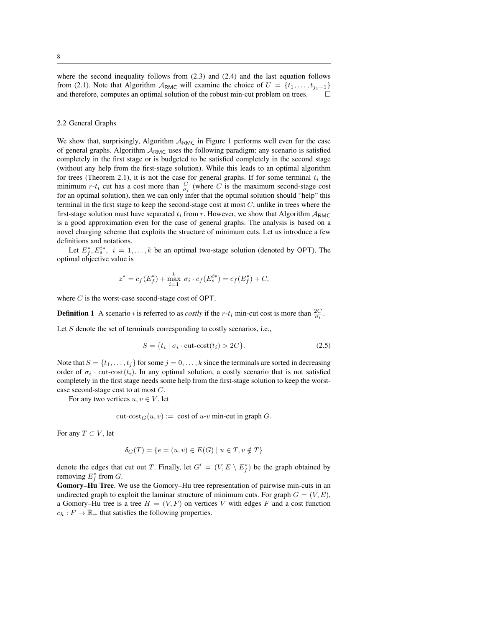where the second inequality follows from (2.3) and (2.4) and the last equation follows from (2.1). Note that Algorithm  $A_{RMC}$  will examine the choice of  $U = \{t_1, \ldots, t_{j_1-1}\}\$ and therefore, computes an optimal solution of the robust min-cut problem on trees.  $\Box$ 

### 2.2 General Graphs

We show that, surprisingly, Algorithm  $A_{RMC}$  in Figure 1 performs well even for the case of general graphs. Algorithm  $A_{RMC}$  uses the following paradigm: any scenario is satisfied completely in the first stage or is budgeted to be satisfied completely in the second stage (without any help from the first-stage solution). While this leads to an optimal algorithm for trees (Theorem 2.1), it is not the case for general graphs. If for some terminal  $t_i$  the minimum  $r-t_i$  cut has a cost more than  $\frac{C}{\sigma_i}$  (where C is the maximum second-stage cost for an optimal solution), then we can only infer that the optimal solution should "help" this terminal in the first stage to keep the second-stage cost at most  $C$ , unlike in trees where the first-stage solution must have separated  $t_i$  from r. However, we show that Algorithm  $A_{RMC}$ is a good approximation even for the case of general graphs. The analysis is based on a novel charging scheme that exploits the structure of minimum cuts. Let us introduce a few definitions and notations.

Let  $E_f^*, E_s^{i*}, i = 1, ..., k$  be an optimal two-stage solution (denoted by OPT). The optimal objective value is

$$
z^* = c_f(E_f^*) + \max_{i=1}^k \sigma_i \cdot c_f(E_s^{i*}) = c_f(E_f^*) + C,
$$

where C is the worst-case second-stage cost of OPT.

**Definition 1** A scenario *i* is referred to as *costly* if the *r*- $t_i$  min-cut cost is more than  $\frac{2C}{\sigma_i}$ .

Let S denote the set of terminals corresponding to costly scenarios, i.e.,

$$
S = \{ t_i \mid \sigma_i \cdot \text{cut-cost}(t_i) > 2C \}. \tag{2.5}
$$

Note that  $S = \{t_1, \ldots, t_j\}$  for some  $j = 0, \ldots, k$  since the terminals are sorted in decreasing order of  $\sigma_i$  cut-cost( $t_i$ ). In any optimal solution, a costly scenario that is not satisfied completely in the first stage needs some help from the first-stage solution to keep the worstcase second-stage cost to at most C.

For any two vertices  $u, v \in V$ , let

cut-cost<sub> $G(u, v) := \text{cost of } u-v$  min-cut in graph G.</sub>

For any  $T \subset V$ , let

$$
\delta_G(T) = \{ e = (u, v) \in E(G) \mid u \in T, v \notin T \}
$$

denote the edges that cut out T. Finally, let  $G' = (V, E \setminus E_f^*)$  be the graph obtained by removing  $E_f^*$  from G.

Gomory–Hu Tree. We use the Gomory–Hu tree representation of pairwise min-cuts in an undirected graph to exploit the laminar structure of minimum cuts. For graph  $G = (V, E)$ , a Gomory–Hu tree is a tree  $H = (V, F)$  on vertices V with edges F and a cost function  $c_h : F \to \mathbb{R}_+$  that satisfies the following properties.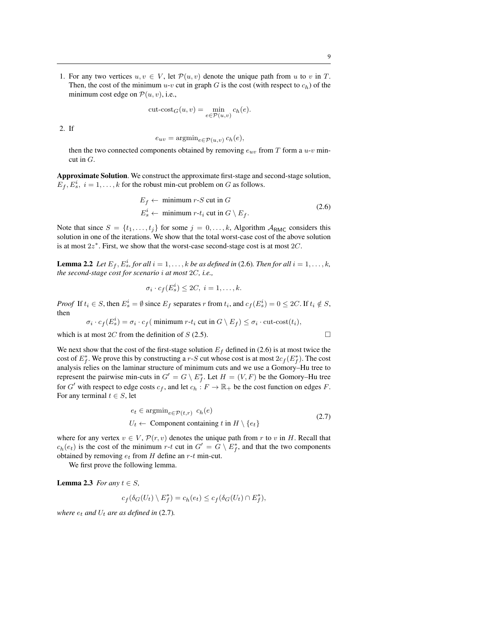1. For any two vertices  $u, v \in V$ , let  $\mathcal{P}(u, v)$  denote the unique path from u to v in T. Then, the cost of the minimum  $u-v$  cut in graph G is the cost (with respect to  $c_h$ ) of the minimum cost edge on  $P(u, v)$ , i.e.,

$$
cut\text{-}cost_G(u,v) = \min_{e \in \mathcal{P}(u,v)} c_h(e).
$$

2. If

$$
e_{uv} = \operatorname{argmin}_{e \in \mathcal{P}(u,v)} c_h(e),
$$

then the two connected components obtained by removing  $e_{uv}$  from T form a  $u$ -v mincut in  $G$ .

Approximate Solution. We construct the approximate first-stage and second-stage solution,  $E_f, E_s^i, i = 1, \dots, k$  for the robust min-cut problem on G as follows.

$$
E_f \leftarrow \text{minimum } r-S \text{ cut in } G
$$
  

$$
E_s^i \leftarrow \text{minimum } r-t_i \text{ cut in } G \setminus E_f.
$$
 (2.6)

Note that since  $S = \{t_1, \ldots, t_j\}$  for some  $j = 0, \ldots, k$ , Algorithm  $A_{RMC}$  considers this solution in one of the iterations. We show that the total worst-case cost of the above solution is at most  $2z^*$ . First, we show that the worst-case second-stage cost is at most  $2C$ .

**Lemma 2.2** Let  $E_f$ ,  $E_s^i$ , for all  $i = 1, ..., k$  be as defined in (2.6). Then for all  $i = 1, ..., k$ , *the second-stage cost for scenario* i *at most* 2C*, i.e.,*

$$
\sigma_i \cdot c_f(E_s^i) \le 2C, \ i = 1, \dots, k.
$$

*Proof* If  $t_i \in S$ , then  $E_s^i = \emptyset$  since  $E_f$  separates r from  $t_i$ , and  $c_f(E_s^i) = 0 \le 2C$ . If  $t_i \notin S$ , then

$$
\sigma_i \cdot c_f(E_s^i) = \sigma_i \cdot c_f(\text{ minimum } r \cdot t_i \text{ cut in } G \setminus E_f) \le \sigma_i \cdot \text{cut-cost}(t_i),
$$

which is at most 2C from the definition of  $S$  (2.5).

We next show that the cost of the first-stage solution  $E_f$  defined in (2.6) is at most twice the cost of  $E_f^*$ . We prove this by constructing a r-S cut whose cost is at most  $2c_f(E_f^*)$ . The cost analysis relies on the laminar structure of minimum cuts and we use a Gomory–Hu tree to represent the pairwise min-cuts in  $G' = G \setminus E_f^*$ . Let  $H = (V, F)$  be the Gomory–Hu tree for G' with respect to edge costs  $c_f$ , and let  $c_h : F \to \mathbb{R}_+$  be the cost function on edges F. For any terminal  $t \in S$ , let

$$
e_t \in \operatorname{argmin}_{e \in \mathcal{P}(t,r)} c_h(e)
$$
  
\n
$$
U_t \leftarrow \text{Component containing } t \text{ in } H \setminus \{e_t\}
$$
\n(2.7)

where for any vertex  $v \in V$ ,  $\mathcal{P}(r, v)$  denotes the unique path from r to v in H. Recall that  $c_h(e_t)$  is the cost of the minimum r-t cut in  $G' = G \setminus E_f^*$ , and that the two components obtained by removing  $e_t$  from H define an  $r$ -t min-cut.

We first prove the following lemma.

**Lemma 2.3** *For any*  $t \in S$ ,

$$
c_f(\delta_G(U_t) \setminus E_f^*) = c_h(e_t) \leq c_f(\delta_G(U_t) \cap E_f^*),
$$

*where*  $e_t$  *and*  $U_t$  *are as defined in* (2.7)*.*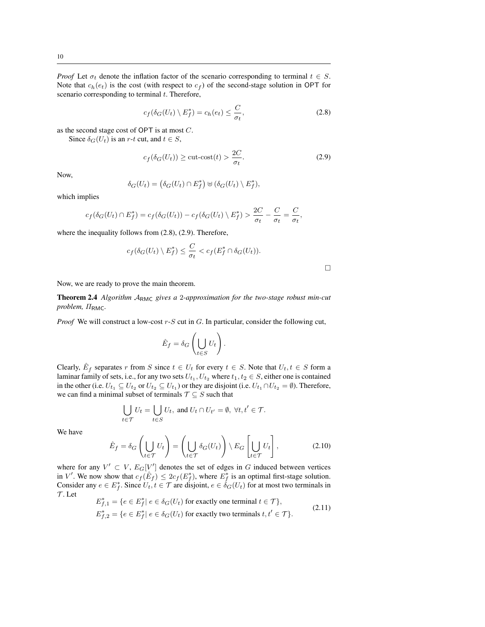*Proof* Let  $\sigma_t$  denote the inflation factor of the scenario corresponding to terminal  $t \in S$ . Note that  $c_h(e_t)$  is the cost (with respect to  $c_f$ ) of the second-stage solution in OPT for scenario corresponding to terminal  $t$ . Therefore,

$$
c_f(\delta_G(U_t) \setminus E_f^*) = c_h(e_t) \le \frac{C}{\sigma_t},\tag{2.8}
$$

as the second stage cost of OPT is at most C.

Since  $\delta_G(U_t)$  is an r-t cut, and  $t \in S$ ,

$$
c_f(\delta_G(U_t)) \ge \text{cut-cost}(t) > \frac{2C}{\sigma_t}.
$$
\n(2.9)

Now,

$$
\delta_G(U_t) = \left(\delta_G(U_t) \cap E_f^*\right) \uplus \left(\delta_G(U_t) \setminus E_f^*\right),
$$

which implies

$$
c_f(\delta_G(U_t) \cap E_f^*) = c_f(\delta_G(U_t)) - c_f(\delta_G(U_t) \setminus E_f^*) > \frac{2C}{\sigma_t} - \frac{C}{\sigma_t} = \frac{C}{\sigma_t},
$$

where the inequality follows from (2.8), (2.9). Therefore,

$$
c_f(\delta_G(U_t)\setminus E_f^*)\leq \frac{C}{\sigma_t}
$$

 $\Box$ 

Now, we are ready to prove the main theorem.

Theorem 2.4 *Algorithm* ARMC *gives a* 2*-approximation for the two-stage robust min-cut problem,* ΠRMC*.*

*Proof* We will construct a low-cost r-S cut in G. In particular, consider the following cut,

$$
\hat{E}_f = \delta_G \left( \bigcup_{t \in S} U_t \right).
$$

Clearly,  $\hat{E}_f$  separates r from S since  $t \in U_t$  for every  $t \in S$ . Note that  $U_t, t \in S$  form a laminar family of sets, i.e., for any two sets  $U_{t_1}, U_{t_2}$  where  $t_1, t_2 \in S$ , either one is contained in the other (i.e.  $U_{t_1} \subseteq U_{t_2}$  or  $U_{t_2} \subseteq U_{t_1}$ ) or they are disjoint (i.e.  $U_{t_1} \cap U_{t_2} = \emptyset$ ). Therefore, we can find a minimal subset of terminals  $\mathcal{T} \subseteq S$  such that

$$
\bigcup_{t \in \mathcal{T}} U_t = \bigcup_{t \in S} U_t, \text{ and } U_t \cap U_{t'} = \emptyset, \ \forall t, t' \in \mathcal{T}.
$$

We have

$$
\hat{E}_f = \delta_G \left( \bigcup_{t \in \mathcal{T}} U_t \right) = \left( \bigcup_{t \in \mathcal{T}} \delta_G (U_t) \right) \setminus E_G \left[ \bigcup_{t \in \mathcal{T}} U_t \right],\tag{2.10}
$$

where for any  $V' \subset V$ ,  $E_G[V']$  denotes the set of edges in G induced between vertices in V'. We now show that  $c_f(\hat{E}_f) \leq 2c_f(E_f^*)$ , where  $E_f^*$  is an optimal first-stage solution. Consider any  $e \in E_f^*$ . Since  $U_t, t \in \mathcal{T}$  are disjoint,  $e \in \delta_G(U_t)$  for at most two terminals in  $\mathcal T$ . Let

$$
E_{f,1}^* = \{ e \in E_f^* | e \in \delta_G(U_t) \text{ for exactly one terminal } t \in \mathcal{T} \},
$$
  
\n
$$
E_{f,2}^* = \{ e \in E_f^* | e \in \delta_G(U_t) \text{ for exactly two terminals } t, t' \in \mathcal{T} \}.
$$
\n(2.11)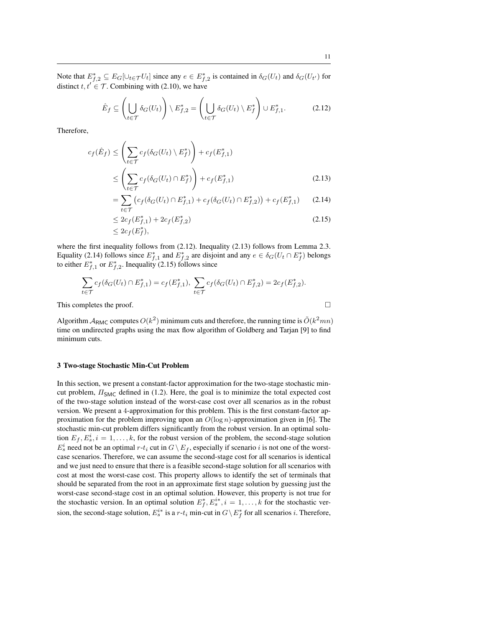Note that  $E_{f,2}^* \subseteq E_G[\cup_{t \in \mathcal{T}} U_t]$  since any  $e \in E_{f,2}^*$  is contained in  $\delta_G(U_t)$  and  $\delta_G(U_{t'})$  for distinct  $t, t' \in \mathcal{T}$ . Combining with (2.10), we have

$$
\hat{E}_f \subseteq \left(\bigcup_{t \in \mathcal{T}} \delta_G(U_t)\right) \setminus E_{f,2}^* = \left(\bigcup_{t \in \mathcal{T}} \delta_G(U_t) \setminus E_f^*\right) \cup E_{f,1}^*.
$$
\n(2.12)

Therefore,

$$
c_f(\hat{E}_f) \leq \left(\sum_{t \in \mathcal{T}} c_f(\delta_G(U_t) \setminus E_f^*)\right) + c_f(E_{f,1}^*)
$$
  
 
$$
\leq \left(\sum_{t \in \mathcal{T}} c_f(\delta_G(U_t) \cap E_f^*)\right) + c_f(E_{f,1}^*)
$$
 (2.13)

$$
= \sum_{t \in \mathcal{T}} \left( c_f(\delta_G(U_t) \cap E_{f,1}^*) + c_f(\delta_G(U_t) \cap E_{f,2}^*) \right) + c_f(E_{f,1}^*) \tag{2.14}
$$

$$
\leq 2c_f(E_{f,1}^*) + 2c_f(E_{f,2}^*)
$$
\n
$$
\leq 2c_f(E_f^*),
$$
\n(2.15)

where the first inequality follows from  $(2.12)$ . Inequality  $(2.13)$  follows from Lemma 2.3. Equality (2.14) follows since  $E_{f,1}^*$  and  $E_{f,2}^*$  are disjoint and any  $e \in \delta_G(U_t \cap E_f^*)$  belongs to either  $E_{f,1}^*$  or  $E_{f,2}^*$ . Inequality (2.15) follows since

$$
\sum_{t \in \mathcal{T}} c_f(\delta_G(U_t) \cap E_{f,1}^*) = c_f(E_{f,1}^*), \sum_{t \in \mathcal{T}} c_f(\delta_G(U_t) \cap E_{f,2}^*) = 2c_f(E_{f,2}^*).
$$
\nThis completes the proof.

Algorithm  $A_{RMC}$  computes  $O(k^2)$  minimum cuts and therefore, the running time is  $\tilde{O}(k^2mn)$ time on undirected graphs using the max flow algorithm of Goldberg and Tarjan [9] to find minimum cuts.

# 3 Two-stage Stochastic Min-Cut Problem

In this section, we present a constant-factor approximation for the two-stage stochastic mincut problem,  $\Pi_{SMC}$  defined in (1.2). Here, the goal is to minimize the total expected cost of the two-stage solution instead of the worst-case cost over all scenarios as in the robust version. We present a 4-approximation for this problem. This is the first constant-factor approximation for the problem improving upon an  $O(\log n)$ -approximation given in [6]. The stochastic min-cut problem differs significantly from the robust version. In an optimal solution  $E_f, E_s^i, i = 1, \ldots, k$ , for the robust version of the problem, the second-stage solution  $E_s^i$  need not be an optimal  $r-t_i$  cut in  $G \setminus E_f$ , especially if scenario i is not one of the worstcase scenarios. Therefore, we can assume the second-stage cost for all scenarios is identical and we just need to ensure that there is a feasible second-stage solution for all scenarios with cost at most the worst-case cost. This property allows to identify the set of terminals that should be separated from the root in an approximate first stage solution by guessing just the worst-case second-stage cost in an optimal solution. However, this property is not true for the stochastic version. In an optimal solution  $E_f^*, E_s^{i*}, i = 1, \ldots, k$  for the stochastic version, the second-stage solution,  $E_s^{i*}$  is a r-t<sub>i</sub> min-cut in  $G \setminus E_f^*$  for all scenarios *i*. Therefore,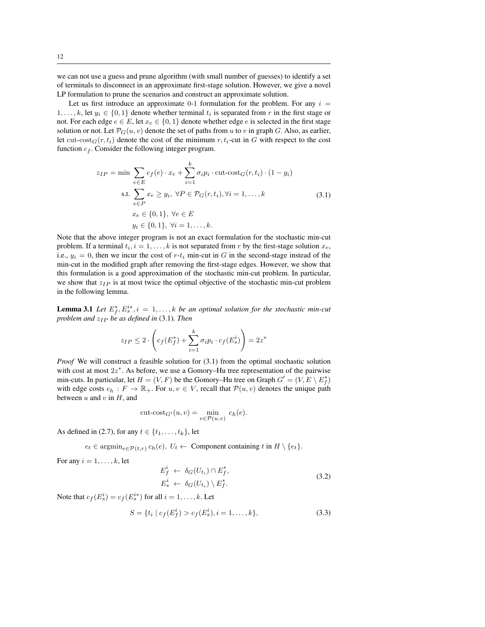we can not use a guess and prune algorithm (with small number of guesses) to identify a set of terminals to disconnect in an approximate first-stage solution. However, we give a novel LP formulation to prune the scenarios and construct an approximate solution.

Let us first introduce an approximate 0-1 formulation for the problem. For any  $i =$  $1, \ldots, k$ , let  $y_i \in \{0, 1\}$  denote whether terminal  $t_i$  is separated from r in the first stage or not. For each edge  $e \in E$ , let  $x_e \in \{0, 1\}$  denote whether edge e is selected in the first stage solution or not. Let  $\mathcal{P}_G(u, v)$  denote the set of paths from u to v in graph G. Also, as earlier, let cut-cost $G(r, t_i)$  denote the cost of the minimum r,  $t_i$ -cut in G with respect to the cost function  $c_f$ . Consider the following integer program.

$$
z_{IP} = \min \sum_{e \in E} c_f(e) \cdot x_e + \sum_{i=1}^k \sigma_i p_i \cdot \text{cut-cost}_G(r, t_i) \cdot (1 - y_i)
$$
  
s.t. 
$$
\sum_{e \in P} x_e \ge y_i, \ \forall P \in \mathcal{P}_G(r, t_i), \forall i = 1, ..., k
$$
  

$$
x_e \in \{0, 1\}, \ \forall e \in E
$$
  

$$
y_i \in \{0, 1\}, \ \forall i = 1, ..., k.
$$
 (3.1)

Note that the above integer program is not an exact formulation for the stochastic min-cut problem. If a terminal  $t_i$ ,  $i = 1, ..., k$  is not separated from r by the first-stage solution  $x_e$ , i.e.,  $y_i = 0$ , then we incur the cost of  $r-t_i$  min-cut in G in the second-stage instead of the min-cut in the modified graph after removing the first-stage edges. However, we show that this formulation is a good approximation of the stochastic min-cut problem. In particular, we show that  $z_{IP}$  is at most twice the optimal objective of the stochastic min-cut problem in the following lemma.

**Lemma 3.1** Let  $E_f^*, E_s^{i*}, i = 1, ..., k$  be an optimal solution for the stochastic min-cut *problem and*  $z_{IP}$  *be as defined in* (3.1)*. Then* 

$$
z_{IP} \leq 2 \cdot \left( c_f(E_f^*) + \sum_{i=1}^k \sigma_i p_i \cdot c_f(E_s^i) \right) = 2z^*
$$

*Proof* We will construct a feasible solution for  $(3.1)$  from the optimal stochastic solution with cost at most  $2z^*$ . As before, we use a Gomory–Hu tree representation of the pairwise min-cuts. In particular, let  $H = (V, F)$  be the Gomory–Hu tree on Graph  $G' = (V, E \setminus E_f^*)$ with edge costs  $c_h : F \to \mathbb{R}_+$ . For  $u, v \in V$ , recall that  $\mathcal{P}(u, v)$  denotes the unique path between  $u$  and  $v$  in  $H$ , and

$$
cut\text{-}cost_{G'}(u,v) = \min_{e \in \mathcal{P}(u,v)} c_h(e).
$$

As defined in (2.7), for any  $t \in \{t_1, \ldots, t_k\}$ , let

 $e_t \in \operatorname{argmin}_{e \in \mathcal{P}(t,r)} c_h(e), \ U_t \leftarrow \text{Component containing } t \text{ in } H \setminus \{e_t\}.$ 

For any  $i = 1, \ldots, k$ , let

$$
E_f^i \leftarrow \delta_G(U_{t_i}) \cap E_f^*,
$$
  
\n
$$
E_s^i \leftarrow \delta_G(U_{t_i}) \setminus E_f^*.
$$
\n(3.2)

Note that  $c_f(E_s^i) = c_f(E_s^{i*})$  for all  $i = 1, \ldots, k$ . Let

$$
S = \{ t_i \mid c_f(E_f^i) > c_f(E_s^i), i = 1, ..., k \},
$$
\n(3.3)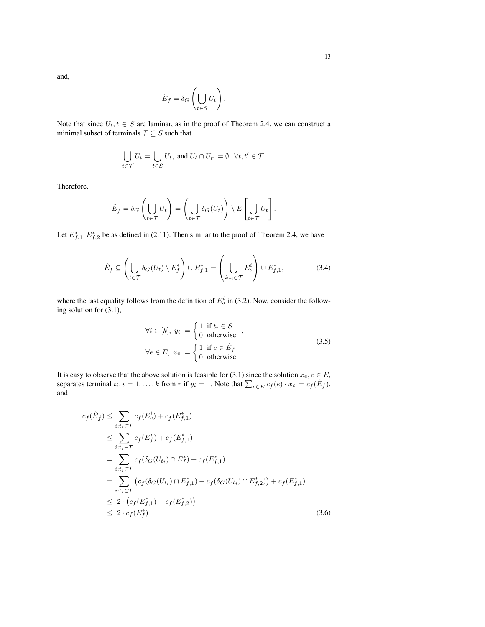and,

$$
\hat{E}_f = \delta_G \left( \bigcup_{t \in S} U_t \right).
$$

Note that since  $U_t, t \in S$  are laminar, as in the proof of Theorem 2.4, we can construct a minimal subset of terminals  $\mathcal{T} \subseteq S$  such that

$$
\bigcup_{t \in \mathcal{T}} U_t = \bigcup_{t \in S} U_t, \text{ and } U_t \cap U_{t'} = \emptyset, \ \forall t, t' \in \mathcal{T}.
$$

Therefore,

$$
\hat{E}_f = \delta_G \left( \bigcup_{t \in \mathcal{T}} U_t \right) = \left( \bigcup_{t \in \mathcal{T}} \delta_G(U_t) \right) \setminus E \left[ \bigcup_{t \in \mathcal{T}} U_t \right].
$$

Let  $E_{f,1}^*$ ,  $E_{f,2}^*$  be as defined in (2.11). Then similar to the proof of Theorem 2.4, we have

$$
\hat{E}_f \subseteq \left(\bigcup_{t \in \mathcal{T}} \delta_G(U_t) \setminus E_f^*\right) \cup E_{f,1}^* = \left(\bigcup_{i:t_i \in \mathcal{T}} E_s^i\right) \cup E_{f,1}^*,\tag{3.4}
$$

where the last equality follows from the definition of  $E_s^i$  in (3.2). Now, consider the following solution for (3.1),

$$
\forall i \in [k], y_i = \begin{cases} 1 & \text{if } t_i \in S \\ 0 & \text{otherwise} \end{cases},
$$
  

$$
\forall e \in E, x_e = \begin{cases} 1 & \text{if } e \in \hat{E}_f \\ 0 & \text{otherwise} \end{cases}
$$
 (3.5)

It is easy to observe that the above solution is feasible for (3.1) since the solution  $x_e, e \in E$ , separates terminal  $t_i$ ,  $i = 1, ..., k$  from r if  $y_i = 1$ . Note that  $\sum_{e \in E} c_f(e) \cdot x_e = c_f(\hat{E}_f)$ , and

$$
c_f(\hat{E}_f) \leq \sum_{i:t_i \in \mathcal{T}} c_f(E_s^i) + c_f(E_{f,1}^*)
$$
  
\n
$$
\leq \sum_{i:t_i \in \mathcal{T}} c_f(E_f^i) + c_f(E_{f,1}^*)
$$
  
\n
$$
= \sum_{i:t_i \in \mathcal{T}} c_f(\delta_G(U_{t_i}) \cap E_f^*) + c_f(E_{f,1}^*)
$$
  
\n
$$
= \sum_{i:t_i \in \mathcal{T}} (c_f(\delta_G(U_{t_i}) \cap E_{f,1}^*) + c_f(\delta_G(U_{t_i}) \cap E_{f,2}^*)) + c_f(E_{f,1}^*)
$$
  
\n
$$
\leq 2 \cdot (c_f(E_{f,1}^*) + c_f(E_{f,2}^*))
$$
  
\n
$$
\leq 2 \cdot c_f(E_f^*)
$$
\n(3.6)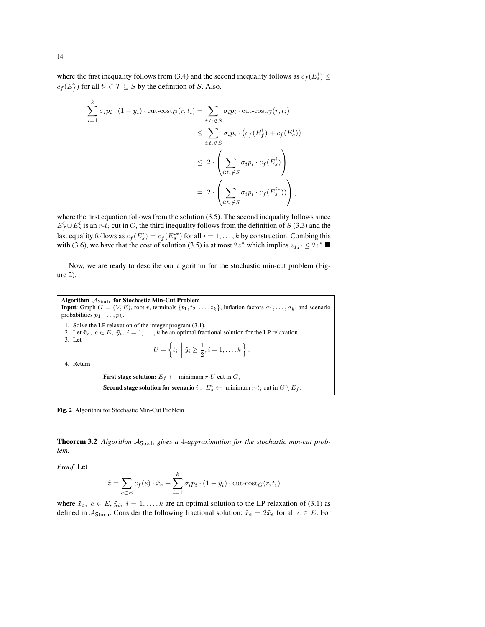where the first inequality follows from (3.4) and the second inequality follows as  $c_f(E_s^i) \leq$  $c_f(E_f^i)$  for all  $t_i \in \mathcal{T} \subseteq S$  by the definition of S. Also,

$$
\sum_{i=1}^{k} \sigma_i p_i \cdot (1 - y_i) \cdot \text{cut-cost}_G(r, t_i) = \sum_{i:t_i \notin S} \sigma_i p_i \cdot \text{cut-cost}_G(r, t_i)
$$
\n
$$
\leq \sum_{i:t_i \notin S} \sigma_i p_i \cdot (c_f(E_f^i) + c_f(E_s^i))
$$
\n
$$
\leq 2 \cdot \left( \sum_{i:t_i \notin S} \sigma_i p_i \cdot c_f(E_s^i) \right)
$$
\n
$$
= 2 \cdot \left( \sum_{i:t_i \notin S} \sigma_i p_i \cdot c_f(E_s^i) \right),
$$

where the first equation follows from the solution (3.5). The second inequality follows since  $E_f^i \cup E_s^i$  is an r-t<sub>i</sub> cut in G, the third inequality follows from the definition of S (3.3) and the last equality follows as  $c_f(E_s^i) = c_f(E_s^{i*})$  for all  $i = 1, ..., k$  by construction. Combing this with (3.6), we have that the cost of solution (3.5) is at most  $2z^*$  which implies  $z_{IP} \leq 2z^*$ .

Now, we are ready to describe our algorithm for the stochastic min-cut problem (Figure 2).

Algorithm  $A_{Stoch}$  for Stochastic Min-Cut Problem **Input:** Graph  $G = (V, E)$ , root r, terminals  $\{t_1, t_2, \ldots, t_k\}$ , inflation factors  $\sigma_1, \ldots, \sigma_k$ , and scenario probabilities  $p_1, \ldots, p_k$ . 1. Solve the LP relaxation of the integer program (3.1). 2. Let  $\tilde{x}_e, e \in E, \tilde{y}_i, i = 1, \ldots, k$  be an optimal fractional solution for the LP relaxation. 3. Let  $U = \left\{ t_i \mid \tilde{y}_i \geq \frac{1}{2} \right\}$  $\frac{1}{2}, i = 1, \ldots, k$  }. 4. Return First stage solution:  $E_f \leftarrow$  minimum r-U cut in G, **Second stage solution for scenario**  $i: E_s^i \leftarrow \text{minimum } r \cdot t_i \text{ cut in } G \setminus E_f.$ 

Fig. 2 Algorithm for Stochastic Min-Cut Problem

Theorem 3.2 Algorithm A<sub>Stoch</sub> gives a 4-approximation for the stochastic min-cut prob*lem.*

*Proof* Let

$$
\tilde{z} = \sum_{e \in E} c_f(e) \cdot \tilde{x}_e + \sum_{i=1}^k \sigma_i p_i \cdot (1 - \tilde{y}_i) \cdot \text{cut-cost}_G(r, t_i)
$$

where  $\tilde{x}_e, e \in E, \tilde{y}_i, i = 1, \ldots, k$  are an optimal solution to the LP relaxation of (3.1) as defined in  $A_{\text{Stoch}}$ . Consider the following fractional solution:  $\hat{x}_e = 2\tilde{x}_e$  for all  $e \in E$ . For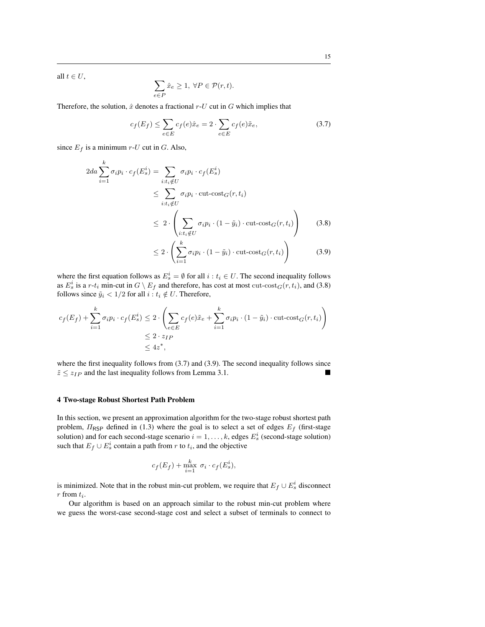all  $t \in U$ ,

$$
\sum_{e \in P} \hat{x}_e \ge 1, \ \forall P \in \mathcal{P}(r, t).
$$

Therefore, the solution,  $\hat{x}$  denotes a fractional  $r$ -U cut in G which implies that

$$
c_f(E_f) \le \sum_{e \in E} c_f(e)\hat{x}_e = 2 \cdot \sum_{e \in E} c_f(e)\tilde{x}_e,\tag{3.7}
$$

since  $E_f$  is a minimum r-U cut in G. Also,

$$
2da \sum_{i=1}^{k} \sigma_i p_i \cdot c_f(E_s^i) = \sum_{i:t_i \notin U} \sigma_i p_i \cdot c_f(E_s^i)
$$
  
\n
$$
\leq \sum_{i:t_i \notin U} \sigma_i p_i \cdot \text{cut-cost}_G(r, t_i)
$$
  
\n
$$
\leq 2 \cdot \left( \sum_{i:t_i \notin U} \sigma_i p_i \cdot (1 - \tilde{y}_i) \cdot \text{cut-cost}_G(r, t_i) \right) \qquad (3.8)
$$
  
\n
$$
\leq 2 \cdot \left( \sum_{i=1}^{k} \sigma_i p_i \cdot (1 - \tilde{y}_i) \cdot \text{cut-cost}_G(r, t_i) \right) \qquad (3.9)
$$

where the first equation follows as  $E_s^i = \emptyset$  for all  $i : t_i \in U$ . The second inequality follows as  $E_s^i$  is a r-t<sub>i</sub> min-cut in  $G \setminus E_f$  and therefore, has cost at most cut-cost $_G(r, t_i)$ , and (3.8) follows since  $\tilde{y}_i < 1/2$  for all  $i : t_i \notin U$ . Therefore,

$$
c_f(E_f) + \sum_{i=1}^k \sigma_i p_i \cdot c_f(E_s^i) \le 2 \cdot \left( \sum_{e \in E} c_f(e) \tilde{x}_e + \sum_{i=1}^k \sigma_i p_i \cdot (1 - \tilde{y}_i) \cdot \text{cut-cost}_G(r, t_i) \right)
$$
  

$$
\le 2 \cdot z_{IP}
$$
  

$$
\le 4z^*,
$$

where the first inequality follows from  $(3.7)$  and  $(3.9)$ . The second inequality follows since  $\tilde{z} \le z_{IP}$  and the last inequality follows from Lemma 3.1.

## 4 Two-stage Robust Shortest Path Problem

In this section, we present an approximation algorithm for the two-stage robust shortest path problem,  $\Pi_{\text{RSP}}$  defined in (1.3) where the goal is to select a set of edges  $E_f$  (first-stage solution) and for each second-stage scenario  $i = 1, \ldots, k$ , edges  $E_s^i$  (second-stage solution) such that  $E_f \cup E_s^i$  contain a path from r to  $t_i$ , and the objective

$$
c_f(E_f) + \max_{i=1}^k \sigma_i \cdot c_f(E_s^i),
$$

is minimized. Note that in the robust min-cut problem, we require that  $E_f \cup E_s^i$  disconnect  $r$  from  $t_i$ .

Our algorithm is based on an approach similar to the robust min-cut problem where we guess the worst-case second-stage cost and select a subset of terminals to connect to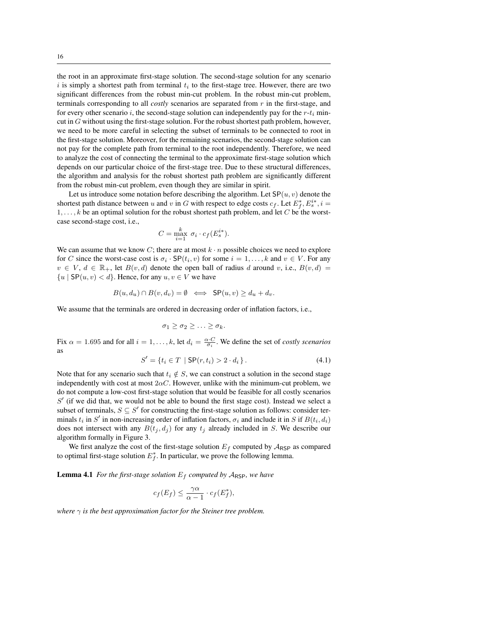the root in an approximate first-stage solution. The second-stage solution for any scenario i is simply a shortest path from terminal  $t_i$  to the first-stage tree. However, there are two significant differences from the robust min-cut problem. In the robust min-cut problem, terminals corresponding to all *costly* scenarios are separated from r in the first-stage, and for every other scenario i, the second-stage solution can independently pay for the  $r-t_i$  mincut in  $G$  without using the first-stage solution. For the robust shortest path problem, however, we need to be more careful in selecting the subset of terminals to be connected to root in the first-stage solution. Moreover, for the remaining scenarios, the second-stage solution can not pay for the complete path from terminal to the root independently. Therefore, we need to analyze the cost of connecting the terminal to the approximate first-stage solution which depends on our particular choice of the first-stage tree. Due to these structural differences, the algorithm and analysis for the robust shortest path problem are significantly different from the robust min-cut problem, even though they are similar in spirit.

Let us introduce some notation before describing the algorithm. Let  $SP(u, v)$  denote the shortest path distance between u and v in G with respect to edge costs  $c_f$ . Let  $E_f^*, E_s^{i*}, i =$  $1, \ldots, k$  be an optimal solution for the robust shortest path problem, and let C be the worstcase second-stage cost, i.e.,

$$
C = \max_{i=1}^{k} \sigma_i \cdot c_f(E_s^{i*}).
$$

We can assume that we know C; there are at most  $k \cdot n$  possible choices we need to explore for C since the worst-case cost is  $\sigma_i \cdot SP(t_i, v)$  for some  $i = 1, \ldots, k$  and  $v \in V$ . For any  $v \in V$ ,  $d \in \mathbb{R}_+$ , let  $B(v, d)$  denote the open ball of radius d around v, i.e.,  $B(v, d)$  ${u \mid \mathsf{SP}(u, v) < d}$ . Hence, for any  $u, v \in V$  we have

$$
B(u, d_u) \cap B(v, d_v) = \emptyset \iff \mathsf{SP}(u, v) \ge d_u + d_v.
$$

We assume that the terminals are ordered in decreasing order of inflation factors, i.e.,

$$
\sigma_1 \geq \sigma_2 \geq \ldots \geq \sigma_k.
$$

Fix  $\alpha = 1.695$  and for all  $i = 1, ..., k$ , let  $d_i = \frac{\alpha \cdot C}{\sigma_i}$ . We define the set of *costly scenarios* as

$$
S' = \{ t_i \in T \mid \mathsf{SP}(r, t_i) > 2 \cdot d_i \}.
$$
 (4.1)

Note that for any scenario such that  $t_i \notin S$ , we can construct a solution in the second stage independently with cost at most  $2\alpha C$ . However, unlike with the minimum-cut problem, we do not compute a low-cost first-stage solution that would be feasible for all costly scenarios  $S'$  (if we did that, we would not be able to bound the first stage cost). Instead we select a subset of terminals,  $S \subseteq S'$  for constructing the first-stage solution as follows: consider terminals  $t_i$  in  $S'$  in non-increasing order of inflation factors,  $\sigma_i$  and include it in S if  $B(t_i, d_i)$ does not intersect with any  $B(t_j, d_j)$  for any  $t_j$  already included in S. We describe our algorithm formally in Figure 3.

We first analyze the cost of the first-stage solution  $E_f$  computed by  $A_{RSP}$  as compared to optimal first-stage solution  $E_f^*$ . In particular, we prove the following lemma.

**Lemma 4.1** *For the first-stage solution*  $E_f$  *computed by*  $A_{RSP}$ *, we have* 

$$
c_f(E_f) \le \frac{\gamma \alpha}{\alpha - 1} \cdot c_f(E_f^*),
$$

*where*  $\gamma$  *is the best approximation factor for the Steiner tree problem.*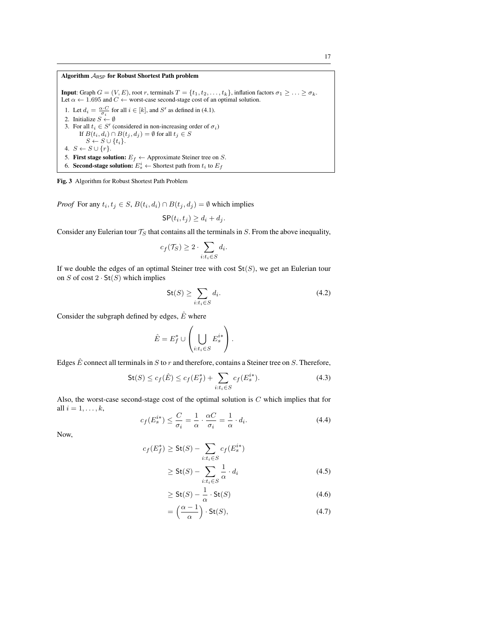### Algorithm  $A_{RSP}$  for Robust Shortest Path problem

**Input:** Graph  $G = (V, E)$ , root r, terminals  $T = \{t_1, t_2, \ldots, t_k\}$ , inflation factors  $\sigma_1 \geq \ldots \geq \sigma_k$ . Let  $\alpha \leftarrow 1.695$  and  $C \leftarrow$  worst-case second-stage cost of an optimal solution. 1. Let  $d_i = \frac{\alpha \cdot C}{\sigma_i}$  for all  $i \in [k]$ , and  $S'$  as defined in (4.1). 2. Initialize  $S \leftarrow \emptyset$ 3. For all  $t_i \in S'$  (considered in non-increasing order of  $\sigma_i$ ) If  $B(t_i, d_i) \cap B(t_j, d_j) = \emptyset$  for all  $t_j \in S$  $S \leftarrow S \cup \{t_i\}.$ 4.  $S \leftarrow S \cup \{r\}.$ 5. First stage solution:  $E_f \leftarrow$  Approximate Steiner tree on S. 6. Second-stage solution:  $E_s^i \leftarrow$  Shortest path from  $t_i$  to  $E_f$ 

Fig. 3 Algorithm for Robust Shortest Path Problem

*Proof* For any  $t_i, t_j \in S$ ,  $B(t_i, d_i) \cap B(t_j, d_j) = \emptyset$  which implies

$$
\mathsf{SP}(t_i, t_j) \ge d_i + d_j.
$$

Consider any Eulerian tour  $T_S$  that contains all the terminals in  $S$ . From the above inequality,

$$
c_f(\mathcal{T}_S) \ge 2 \cdot \sum_{i:t_i \in S} d_i
$$

If we double the edges of an optimal Steiner tree with cost  $St(S)$ , we get an Eulerian tour on  $S$  of cost  $2 \cdot St(S)$  which implies

$$
\mathsf{St}(S) \ge \sum_{i:t_i \in S} d_i. \tag{4.2}
$$

Consider the subgraph defined by edges,  $\hat{E}$  where

$$
\hat{E} = E_f^* \cup \left( \bigcup_{i:t_i \in S} E_s^{i*} \right).
$$

Edges  $\hat{E}$  connect all terminals in S to r and therefore, contains a Steiner tree on S. Therefore,

$$
\mathsf{St}(S) \le c_f(\hat{E}) \le c_f(E_f^*) + \sum_{i:t_i \in S} c_f(E_s^{i*}). \tag{4.3}
$$

.

Also, the worst-case second-stage cost of the optimal solution is  $C$  which implies that for all  $i = 1, \ldots, k$ ,

$$
c_f(E_s^{i*}) \le \frac{C}{\sigma_i} = \frac{1}{\alpha} \cdot \frac{\alpha C}{\sigma_i} = \frac{1}{\alpha} \cdot d_i.
$$
 (4.4)

Now,

$$
c_f(E_f^*) \ge \mathsf{St}(S) - \sum_{i:t_i \in S} c_f(E_s^{i*})
$$
  
 
$$
\ge \mathsf{St}(S) - \sum_{i:t_i \in S} \frac{1}{\alpha} \cdot d_i
$$
 (4.5)

$$
\geq \mathsf{St}(S) - \frac{1}{\alpha} \cdot \mathsf{St}(S) \tag{4.6}
$$

$$
= \left(\frac{\alpha - 1}{\alpha}\right) \cdot \text{St}(S),\tag{4.7}
$$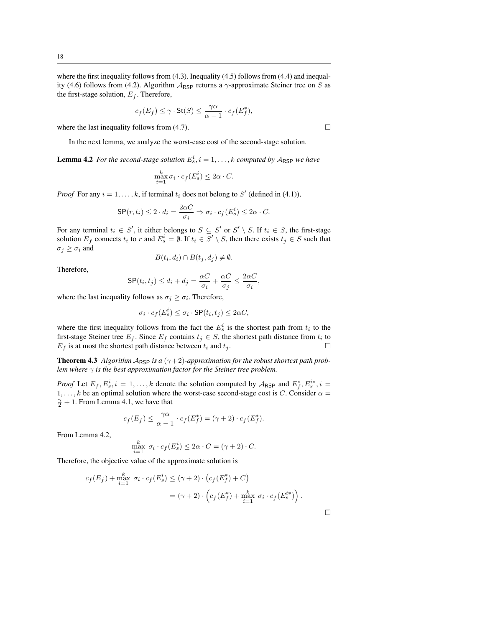where the first inequality follows from  $(4.3)$ . Inequality  $(4.5)$  follows from  $(4.4)$  and inequality (4.6) follows from (4.2). Algorithm  $A_{RSP}$  returns a  $\gamma$ -approximate Steiner tree on S as the first-stage solution,  $E_f$ . Therefore,

$$
c_f(E_f) \le \gamma \cdot \mathsf{St}(S) \le \frac{\gamma \alpha}{\alpha - 1} \cdot c_f(E_f^*),
$$

where the last inequality follows from (4.7).  $\Box$ 

In the next lemma, we analyze the worst-case cost of the second-stage solution.

**Lemma 4.2** For the second-stage solution  $E_s^i$ ,  $i = 1, ..., k$  computed by  $A_{\text{RSP}}$  we have

$$
\max_{i=1}^k \sigma_i \cdot c_f(E_s^i) \le 2\alpha \cdot C.
$$

*Proof* For any  $i = 1, ..., k$ , if terminal  $t_i$  does not belong to S' (defined in (4.1)),

$$
\mathsf{SP}(r, t_i) \le 2 \cdot d_i = \frac{2\alpha C}{\sigma_i} \Rightarrow \sigma_i \cdot c_f(E_s^i) \le 2\alpha \cdot C.
$$

For any terminal  $t_i \in S'$ , it either belongs to  $S \subseteq S'$  or  $S' \setminus S$ . If  $t_i \in S$ , the first-stage solution  $E_f$  connects  $t_i$  to r and  $E_s^i = \emptyset$ . If  $t_i \in S' \setminus S$ , then there exists  $t_j \in S$  such that  $\sigma_j \geq \sigma_i$  and

$$
B(t_i, d_i) \cap B(t_j, d_j) \neq \emptyset
$$

Therefore,

$$
\mathsf{SP}(t_i, t_j) \le d_i + d_j = \frac{\alpha C}{\sigma_i} + \frac{\alpha C}{\sigma_j} \le \frac{2\alpha C}{\sigma_i},
$$

where the last inequality follows as  $\sigma_j \geq \sigma_i$ . Therefore,

$$
\sigma_i \cdot c_f(E_s^i) \le \sigma_i \cdot \mathsf{SP}(t_i, t_j) \le 2\alpha C,
$$

where the first inequality follows from the fact the  $E_s^i$  is the shortest path from  $t_i$  to the first-stage Steiner tree  $E_f$ . Since  $E_f$  contains  $t_j \in S$ , the shortest path distance from  $t_i$  to  $E_f$  is at most the shortest path distance between  $t_i$  and  $t_j$ .

**Theorem 4.3** *Algorithm*  $A_{\text{RSP}}$  *is a*  $(\gamma + 2)$ *-approximation for the robust shortest path problem where*  $\gamma$  *is the best approximation factor for the Steiner tree problem.* 

*Proof* Let  $E_f$ ,  $E_s^i$ ,  $i = 1, ..., k$  denote the solution computed by  $A_{RSP}$  and  $E_f^*, E_s^{i*}, i =$  $1, \ldots, k$  be an optimal solution where the worst-case second-stage cost is C. Consider  $\alpha =$  $\frac{\gamma}{2} + 1$ . From Lemma 4.1, we have that

$$
c_f(E_f) \le \frac{\gamma \alpha}{\alpha - 1} \cdot c_f(E_f^*) = (\gamma + 2) \cdot c_f(E_f^*).
$$

From Lemma 4.2,

$$
\max_{i=1}^k \sigma_i \cdot c_f(E_s^i) \le 2\alpha \cdot C = (\gamma + 2) \cdot C.
$$

Therefore, the objective value of the approximate solution is

$$
c_f(E_f) + \max_{i=1}^k \sigma_i \cdot c_f(E_s^i) \le (\gamma + 2) \cdot (c_f(E_f^*) + C)
$$
  
=  $(\gamma + 2) \cdot (c_f(E_f^*) + \max_{i=1}^k \sigma_i \cdot c_f(E_s^{i*})).$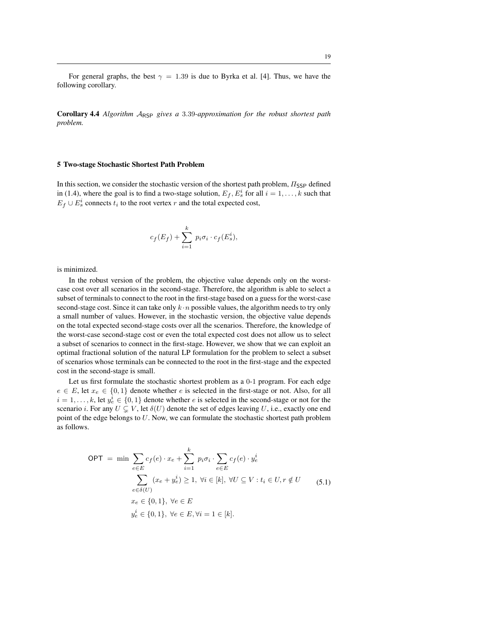For general graphs, the best  $\gamma = 1.39$  is due to Byrka et al. [4]. Thus, we have the following corollary.

Corollary 4.4 *Algorithm* ARSP *gives a* 3.39*-approximation for the robust shortest path problem.*

## 5 Two-stage Stochastic Shortest Path Problem

In this section, we consider the stochastic version of the shortest path problem,  $\Pi_{\text{SSP}}$  defined in (1.4), where the goal is to find a two-stage solution,  $E_f$ ,  $E_s^i$  for all  $i = 1, ..., k$  such that  $E_f \cup E_s^i$  connects  $t_i$  to the root vertex r and the total expected cost,

$$
c_f(E_f) + \sum_{i=1}^k p_i \sigma_i \cdot c_f(E_s^i),
$$

is minimized.

In the robust version of the problem, the objective value depends only on the worstcase cost over all scenarios in the second-stage. Therefore, the algorithm is able to select a subset of terminals to connect to the root in the first-stage based on a guess for the worst-case second-stage cost. Since it can take only  $k \cdot n$  possible values, the algorithm needs to try only a small number of values. However, in the stochastic version, the objective value depends on the total expected second-stage costs over all the scenarios. Therefore, the knowledge of the worst-case second-stage cost or even the total expected cost does not allow us to select a subset of scenarios to connect in the first-stage. However, we show that we can exploit an optimal fractional solution of the natural LP formulation for the problem to select a subset of scenarios whose terminals can be connected to the root in the first-stage and the expected cost in the second-stage is small.

Let us first formulate the stochastic shortest problem as a 0-1 program. For each edge  $e \in E$ , let  $x_e \in \{0, 1\}$  denote whether e is selected in the first-stage or not. Also, for all  $i = 1, \ldots, k$ , let  $y_e^i \in \{0, 1\}$  denote whether e is selected in the second-stage or not for the scenario i. For any  $U \subsetneq V$ , let  $\delta(U)$  denote the set of edges leaving U, i.e., exactly one end point of the edge belongs to U. Now, we can formulate the stochastic shortest path problem as follows.

$$
\begin{aligned}\n\text{OPT} &= \min \sum_{e \in E} c_f(e) \cdot x_e + \sum_{i=1}^k p_i \sigma_i \cdot \sum_{e \in E} c_f(e) \cdot y_e^i \\
&\sum_{e \in \delta(U)} (x_e + y_e^i) \ge 1, \ \forall i \in [k], \ \forall U \subseteq V : t_i \in U, r \notin U \\
&x_e \in \{0, 1\}, \ \forall e \in E \\
y_e^i \in \{0, 1\}, \ \forall e \in E, \forall i = 1 \in [k].\n\end{aligned} \tag{5.1}
$$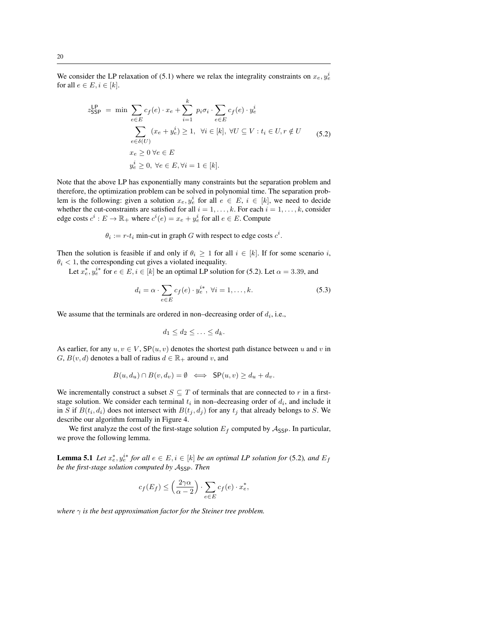We consider the LP relaxation of (5.1) where we relax the integrality constraints on  $x_e, y_e^i$ for all  $e \in E, i \in [k]$ .

$$
z_{\text{SSP}}^{\text{LP}} = \min \sum_{e \in E} c_f(e) \cdot x_e + \sum_{i=1}^k p_i \sigma_i \cdot \sum_{e \in E} c_f(e) \cdot y_e^i
$$
  

$$
\sum_{e \in \delta(U)} (x_e + y_e^i) \ge 1, \ \forall i \in [k], \ \forall U \subseteq V : t_i \in U, r \notin U
$$
  

$$
x_e \ge 0 \ \forall e \in E
$$
  

$$
y_e^i \ge 0, \ \forall e \in E, \forall i = 1 \in [k].
$$
 (5.2)

Note that the above LP has exponentially many constraints but the separation problem and therefore, the optimization problem can be solved in polynomial time. The separation problem is the following: given a solution  $x_e, y_e^i$  for all  $e \in E$ ,  $i \in [k]$ , we need to decide whether the cut-constraints are satisfied for all  $i = 1, \ldots, k$ . For each  $i = 1, \ldots, k$ , consider edge costs  $c^i : E \to \mathbb{R}_+$  where  $c^i(e) = x_e + y_e^i$  for all  $e \in E$ . Compute

 $\theta_i := r - t_i$  min-cut in graph G with respect to edge costs  $c^i$ .

Then the solution is feasible if and only if  $\theta_i \geq 1$  for all  $i \in [k]$ . If for some scenario i,  $\theta_i$  < 1, the corresponding cut gives a violated inequality.

Let  $x_e^*, y_e^{i*}$  for  $e \in E, i \in [k]$  be an optimal LP solution for (5.2). Let  $\alpha = 3.39$ , and

$$
d_i = \alpha \cdot \sum_{e \in E} c_f(e) \cdot y_e^{i*}, \ \forall i = 1, \dots, k. \tag{5.3}
$$

We assume that the terminals are ordered in non-decreasing order of  $d_i$ , i.e.,

$$
d_1 \leq d_2 \leq \ldots \leq d_k.
$$

As earlier, for any  $u, v \in V$ ,  $\mathsf{SP}(u, v)$  denotes the shortest path distance between u and v in  $G, B(v, d)$  denotes a ball of radius  $d \in \mathbb{R}_+$  around v, and

$$
B(u, d_u) \cap B(v, d_v) = \emptyset \iff \mathsf{SP}(u, v) \ge d_u + d_v.
$$

We incrementally construct a subset  $S \subseteq T$  of terminals that are connected to r in a firststage solution. We consider each terminal  $t_i$  in non-decreasing order of  $d_i$ , and include it in S if  $B(t_i, d_i)$  does not intersect with  $B(t_j, d_j)$  for any  $t_j$  that already belongs to S. We describe our algorithm formally in Figure 4.

We first analyze the cost of the first-stage solution  $E_f$  computed by  $A_{\text{SSP}}$ . In particular, we prove the following lemma.

**Lemma 5.1** Let  $x_e^*, y_e^{i*}$  for all  $e \in E$ ,  $i \in [k]$  be an optimal LP solution for (5.2), and  $E_f$ *be the first-stage solution computed by Assp. Then* 

$$
c_f(E_f) \le \left(\frac{2\gamma\alpha}{\alpha - 2}\right) \cdot \sum_{e \in E} c_f(e) \cdot x_e^*,
$$

*where*  $\gamma$  *is the best approximation factor for the Steiner tree problem.*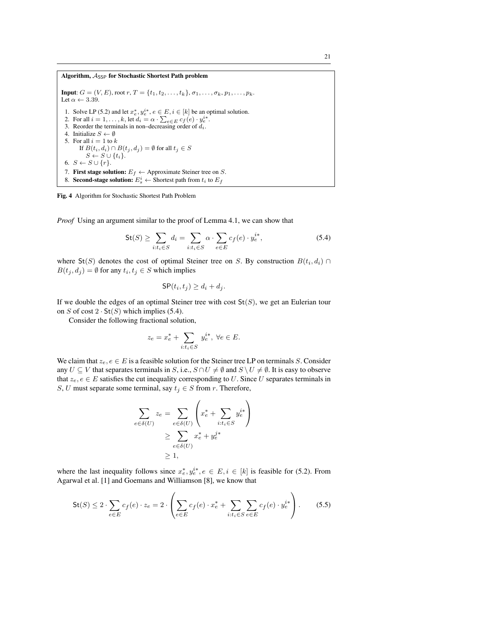Algorithm,  $A_{\text{SSP}}$  for Stochastic Shortest Path problem **Input:**  $G = (V, E)$ , root  $r, T = \{t_1, t_2, \ldots, t_k\}, \sigma_1, \ldots, \sigma_k, p_1, \ldots, p_k.$ Let  $\alpha \leftarrow 3.39$ . 1. Solve LP (5.2) and let  $x_e^*, y_e^{i*}, e \in E, i \in [k]$  be an optimal solution. 2. For all  $i = 1, \ldots, k$ , let  $d_i = \alpha \cdot \sum_{e \in E} c_f(e) \cdot y_e^{i*}$ . 3. Reorder the terminals in non–decreasing order of  $d_i$ . 4. Initialize  $S \leftarrow \emptyset$ 5. For all  $i = 1$  to  $k$ If  $B(t_i, d_i) \cap B(t_j, d_j) = \emptyset$  for all  $t_j \in S$  $S \leftarrow S \cup \{t_i\}.$ 6.  $S \leftarrow S \cup \{r\}.$ 7. First stage solution:  $E_f \leftarrow$  Approximate Steiner tree on S. 8. Second-stage solution:  $E_s^i \leftarrow$  Shortest path from  $t_i$  to  $E_f$ 

Fig. 4 Algorithm for Stochastic Shortest Path Problem

*Proof* Using an argument similar to the proof of Lemma 4.1, we can show that

$$
\mathsf{St}(S) \ge \sum_{i:t_i \in S} d_i = \sum_{i:t_i \in S} \alpha \cdot \sum_{e \in E} c_f(e) \cdot y_e^{i*},\tag{5.4}
$$

where  $St(S)$  denotes the cost of optimal Steiner tree on S. By construction  $B(t_i, d_i) \cap$  $B(t_j, d_j) = \emptyset$  for any  $t_i, t_j \in S$  which implies

$$
\mathsf{SP}(t_i, t_j) \ge d_i + d_j.
$$

If we double the edges of an optimal Steiner tree with cost  $St(S)$ , we get an Eulerian tour on S of cost  $2 \cdot St(S)$  which implies (5.4).

Consider the following fractional solution,

$$
z_e = x_e^* + \sum_{i:t_i \in S} y_e^{i*}, \ \forall e \in E.
$$

We claim that  $z_e, e \in E$  is a feasible solution for the Steiner tree LP on terminals S. Consider any  $U \subseteq V$  that separates terminals in S, i.e.,  $S \cap U \neq \emptyset$  and  $S \setminus U \neq \emptyset$ . It is easy to observe that  $z_e, e \in E$  satisfies the cut inequality corresponding to U. Since U separates terminals in S, U must separate some terminal, say  $t_i \in S$  from r. Therefore,

$$
\sum_{e \in \delta(U)} z_e = \sum_{e \in \delta(U)} \left( x_e^* + \sum_{i:t_i \in S} y_e^{i*} \right)
$$
  
\n
$$
\geq \sum_{e \in \delta(U)} x_e^* + y_e^{j*}
$$
  
\n
$$
\geq 1,
$$

where the last inequality follows since  $x_e^*, y_e^{i*}, e \in E, i \in [k]$  is feasible for (5.2). From Agarwal et al. [1] and Goemans and Williamson [8], we know that

$$
\mathsf{St}(S) \le 2 \cdot \sum_{e \in E} c_f(e) \cdot z_e = 2 \cdot \left( \sum_{e \in E} c_f(e) \cdot x_e^* + \sum_{i: t_i \in S} \sum_{e \in E} c_f(e) \cdot y_e^{i*} \right). \tag{5.5}
$$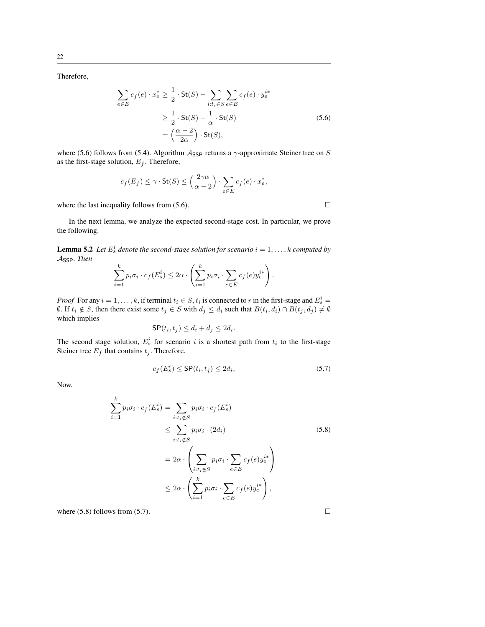Therefore,

$$
\sum_{e \in E} c_f(e) \cdot x_e^* \ge \frac{1}{2} \cdot \text{St}(S) - \sum_{i:t_i \in S} \sum_{e \in E} c_f(e) \cdot y_e^{i*}
$$

$$
\ge \frac{1}{2} \cdot \text{St}(S) - \frac{1}{\alpha} \cdot \text{St}(S)
$$

$$
= \left(\frac{\alpha - 2}{2\alpha}\right) \cdot \text{St}(S),
$$
(5.6)

where (5.6) follows from (5.4). Algorithm  $A_{\text{SSP}}$  returns a  $\gamma$ -approximate Steiner tree on S as the first-stage solution,  $E_f$ . Therefore,

$$
c_f(E_f) \le \gamma \cdot \mathsf{St}(S) \le \left(\frac{2\gamma\alpha}{\alpha - 2}\right) \cdot \sum_{e \in E} c_f(e) \cdot x_e^*,
$$

where the last inequality follows from  $(5.6)$ .

In the next lemma, we analyze the expected second-stage cost. In particular, we prove the following.

**Lemma 5.2** Let  $E^i_s$  denote the second-stage solution for scenario  $i = 1, \ldots, k$  computed by ASSP*. Then*

$$
\sum_{i=1}^{k} p_i \sigma_i \cdot c_f(E_s^i) \leq 2\alpha \cdot \left(\sum_{i=1}^{k} p_i \sigma_i \cdot \sum_{e \in E} c_f(e) y_e^{i*}\right).
$$

*Proof* For any  $i = 1, ..., k$ , if terminal  $t_i \in S$ ,  $t_i$  is connected to r in the first-stage and  $E_s^i$  =  $\emptyset$ . If  $t_i \notin S$ , then there exist some  $t_j \in S$  with  $d_j \leq d_i$  such that  $B(t_i, d_i) \cap B(t_j, d_j) \neq \emptyset$ which implies

$$
\mathsf{SP}(t_i, t_j) \le d_i + d_j \le 2d_i.
$$

The second stage solution,  $E_s^i$  for scenario i is a shortest path from  $t_i$  to the first-stage Steiner tree  $E_f$  that contains  $t_j$ . Therefore,

$$
c_f(E_s^i) \le \mathsf{SP}(t_i, t_j) \le 2d_i,\tag{5.7}
$$

Now,

$$
\sum_{i=1}^{k} p_i \sigma_i \cdot c_f(E_s^i) = \sum_{i:t_i \notin S} p_i \sigma_i \cdot c_f(E_s^i)
$$
\n
$$
\leq \sum_{i:t_i \notin S} p_i \sigma_i \cdot (2d_i)
$$
\n
$$
= 2\alpha \cdot \left( \sum_{i:t_i \notin S} p_i \sigma_i \cdot \sum_{e \in E} c_f(e) y_e^{i*} \right)
$$
\n
$$
\leq 2\alpha \cdot \left( \sum_{i=1}^{k} p_i \sigma_i \cdot \sum_{e \in E} c_f(e) y_e^{i*} \right),
$$
\n(5.8)

where (5.8) follows from (5.7).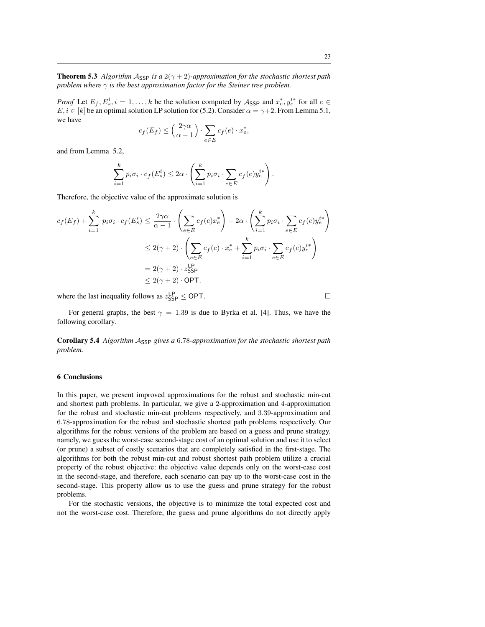**Theorem 5.3** *Algorithm*  $A_{\text{SSP}}$  *is a*  $2(\gamma + 2)$ *-approximation for the stochastic shortest path problem where*  $\gamma$  *is the best approximation factor for the Steiner tree problem.* 

*Proof* Let  $E_f$ ,  $E_s^i$ ,  $i = 1, ..., k$  be the solution computed by  $A_{\text{SSP}}$  and  $x_e^*, y_e^{i*}$  for all  $e \in$  $E, i \in [k]$  be an optimal solution LP solution for (5.2). Consider  $\alpha = \gamma + 2$ . From Lemma 5.1, we have

$$
c_f(E_f) \le \left(\frac{2\gamma\alpha}{\alpha - 1}\right) \cdot \sum_{e \in E} c_f(e) \cdot x_e^*,
$$

and from Lemma 5.2,

$$
\sum_{i=1}^{k} p_i \sigma_i \cdot c_f(E_s^i) \leq 2\alpha \cdot \left(\sum_{i=1}^{k} p_i \sigma_i \cdot \sum_{e \in E} c_f(e) y_e^{i*}\right).
$$

Therefore, the objective value of the approximate solution is

$$
c_f(E_f) + \sum_{i=1}^k p_i \sigma_i \cdot c_f(E_s^i) \le \frac{2\gamma\alpha}{\alpha - 1} \cdot \left(\sum_{e \in E} c_f(e)x_e^*\right) + 2\alpha \cdot \left(\sum_{i=1}^k p_i \sigma_i \cdot \sum_{e \in E} c_f(e)y_e^{i*}\right)
$$
  

$$
\le 2(\gamma + 2) \cdot \left(\sum_{e \in E} c_f(e) \cdot x_e^* + \sum_{i=1}^k p_i \sigma_i \cdot \sum_{e \in E} c_f(e)y_e^{i*}\right)
$$
  

$$
= 2(\gamma + 2) \cdot z_{\text{SSP}}^{1\text{P}}
$$
  

$$
\le 2(\gamma + 2) \cdot \text{OPT}.
$$

where the last inequality follows as  $z_{\text{SSP}}^{\text{LP}} \leq \text{OPT}$ .

For general graphs, the best  $\gamma = 1.39$  is due to Byrka et al. [4]. Thus, we have the following corollary.

Corollary 5.4 *Algorithm A<sub>SSP</sub> gives a* 6.78-*approximation for the stochastic shortest path problem.*

## 6 Conclusions

In this paper, we present improved approximations for the robust and stochastic min-cut and shortest path problems. In particular, we give a 2-approximation and 4-approximation for the robust and stochastic min-cut problems respectively, and 3.39-approximation and 6.78-approximation for the robust and stochastic shortest path problems respectively. Our algorithms for the robust versions of the problem are based on a guess and prune strategy, namely, we guess the worst-case second-stage cost of an optimal solution and use it to select (or prune) a subset of costly scenarios that are completely satisfied in the first-stage. The algorithms for both the robust min-cut and robust shortest path problem utilize a crucial property of the robust objective: the objective value depends only on the worst-case cost in the second-stage, and therefore, each scenario can pay up to the worst-case cost in the second-stage. This property allow us to use the guess and prune strategy for the robust problems.

For the stochastic versions, the objective is to minimize the total expected cost and not the worst-case cost. Therefore, the guess and prune algorithms do not directly apply